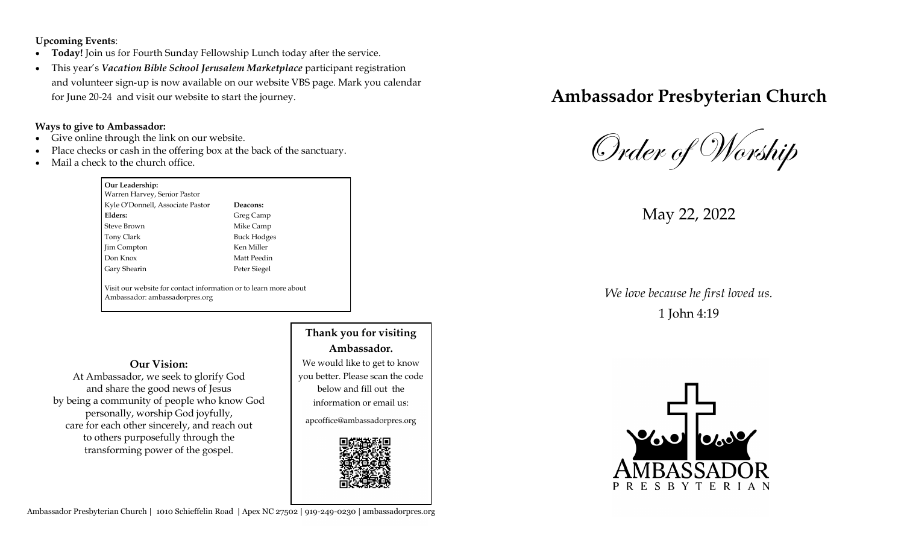**Upcoming Events**:

- **Today!** Join us for Fourth Sunday Fellowship Lunch today after the service.
- This year's *Vacation Bible School Jerusalem Marketplace* participant registration and volunteer sign-up is now available on our website VBS page. Mark you calendar for June 20-24 and visit our website to start the journey.

#### **Ways to give to Ambassador:**

- Give online through the link on our website.
- Place checks or cash in the offering box at the back of the sanctuary.
- Mail a check to the church office.

## **Our Leadership:**

Warren Harvey, Senior Pastor Kyle O'Donnell, Associate Pastor **Deacons: Elders:** Greg Camp Steve Brown Mike Camp Tony Clark Buck Hodges Jim Compton Ken Miller Don Knox Matt Peedin Gary Shearin Peter Siegel

Visit our website for contact information or to learn more about Ambassador: ambassadorpres.org

#### **Our Vision:**

At Ambassador, we seek to glorify God and share the good news of Jesus by being a community of people who know God personally, worship God joyfully, care for each other sincerely, and reach out to others purposefully through the transforming power of the gospel.

# **Thank you for visiting Ambassador.**

We would like to get to know you better. Please scan the code below and fill out the information or email us:

apcoffice@ambassadorpres.org



# **Ambassador Presbyterian Church**

Order of Worship

May 22, 2022

*We love because he first loved us.* 1 John 4:19



Ambassador Presbyterian Church | 1010 Schieffelin Road | Apex NC 27502 | 919-249-0230 | ambassadorpres.org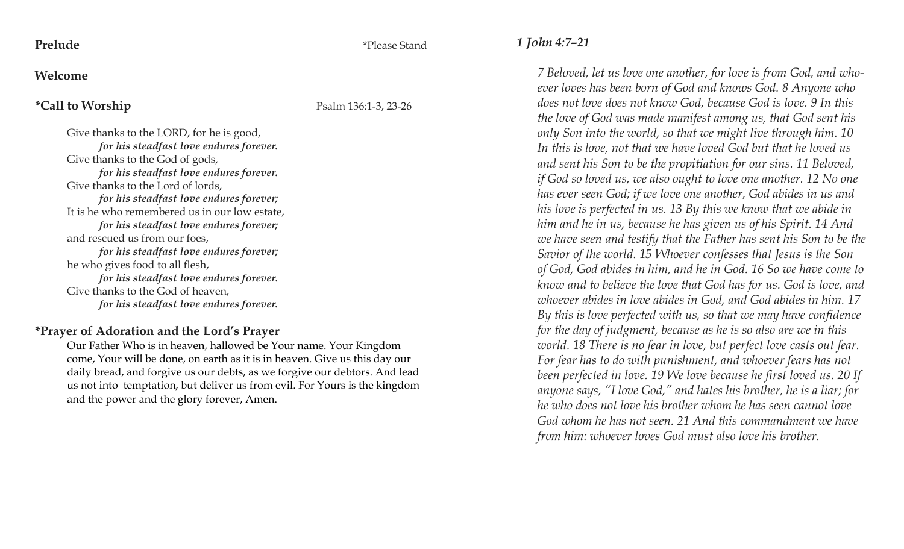**Prelude** \*Please Stand

#### **Welcome**

### **\*Call to Worship** Psalm 136:1-3, 23-26

Give thanks to the LORD, for he is good, *for his steadfast love endures forever.*  Give thanks to the God of gods, *for his steadfast love endures forever.*  Give thanks to the Lord of lords, *for his steadfast love endures forever;* It is he who remembered us in our low estate, *for his steadfast love endures forever;*  and rescued us from our foes, *for his steadfast love endures forever;*  he who gives food to all flesh, *for his steadfast love endures forever.*  Give thanks to the God of heaven, *for his steadfast love endures forever.*

### **\*Prayer of Adoration and the Lord's Prayer**

Our Father Who is in heaven, hallowed be Your name. Your Kingdom come, Your will be done, on earth as it is in heaven. Give us this day our daily bread, and forgive us our debts, as we forgive our debtors. And lead us not into temptation, but deliver us from evil. For Yours is the kingdom and the power and the glory forever, Amen.

## *1 John 4:7–21*

*7 Beloved, let us love one another, for love is from God, and whoever loves has been born of God and knows God. 8 Anyone who does not love does not know God, because God is love. 9 In this the love of God was made manifest among us, that God sent his only Son into the world, so that we might live through him. 10 In this is love, not that we have loved God but that he loved us and sent his Son to be the propitiation for our sins. 11 Beloved, if God so loved us, we also ought to love one another. 12 No one has ever seen God; if we love one another, God abides in us and his love is perfected in us. 13 By this we know that we abide in him and he in us, because he has given us of his Spirit. 14 And we have seen and testify that the Father has sent his Son to be the Savior of the world. 15 Whoever confesses that Jesus is the Son of God, God abides in him, and he in God. 16 So we have come to know and to believe the love that God has for us. God is love, and whoever abides in love abides in God, and God abides in him. 17 By this is love perfected with us, so that we may have confidence for the day of judgment, because as he is so also are we in this world. 18 There is no fear in love, but perfect love casts out fear. For fear has to do with punishment, and whoever fears has not been perfected in love. 19 We love because he first loved us. 20 If anyone says, "I love God," and hates his brother, he is a liar; for he who does not love his brother whom he has seen cannot love God whom he has not seen. 21 And this commandment we have from him: whoever loves God must also love his brother.*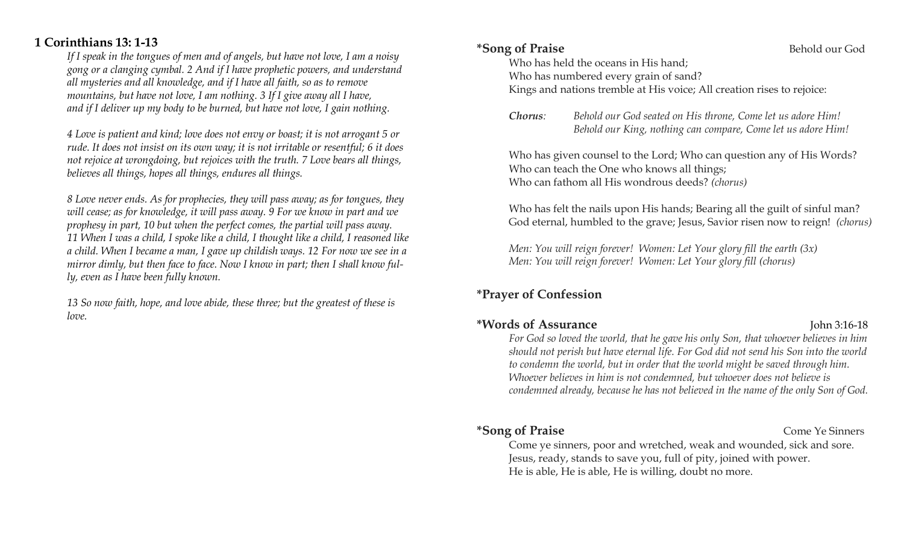# **1 Corinthians 13: 1-13**

*If I speak in the tongues of men and of angels, but have not love, I am a noisy gong or a clanging cymbal. 2 And if I have prophetic powers, and understand all mysteries and all knowledge, and if I have all faith, so as to remove mountains, but have not love, I am nothing. 3 If I give away all I have, and if I deliver up my body to be burned, but have not love, I gain nothing.* 

*4 Love is patient and kind; love does not envy or boast; it is not arrogant 5 or rude. It does not insist on its own way; it is not irritable or resentful; 6 it does not rejoice at wrongdoing, but rejoices with the truth. 7 Love bears all things, believes all things, hopes all things, endures all things.* 

*8 Love never ends. As for prophecies, they will pass away; as for tongues, they will cease; as for knowledge, it will pass away. 9 For we know in part and we prophesy in part, 10 but when the perfect comes, the partial will pass away. 11 When I was a child, I spoke like a child, I thought like a child, I reasoned like a child. When I became a man, I gave up childish ways. 12 For now we see in a mirror dimly, but then face to face. Now I know in part; then I shall know fully, even as I have been fully known.* 

*13 So now faith, hope, and love abide, these three; but the greatest of these is love.*

### **\*Song of Praise Behold our God**

Who has held the oceans in His hand;

Who has numbered every grain of sand? Kings and nations tremble at His voice; All creation rises to rejoice:

*Chorus: Behold our God seated on His throne, Come let us adore Him! Behold our King, nothing can compare, Come let us adore Him!*

Who has given counsel to the Lord; Who can question any of His Words? Who can teach the One who knows all things; Who can fathom all His wondrous deeds? *(chorus)*

Who has felt the nails upon His hands; Bearing all the guilt of sinful man? God eternal, humbled to the grave; Jesus, Savior risen now to reign! *(chorus)*

*Men: You will reign forever! Women: Let Your glory fill the earth (3x) Men: You will reign forever! Women: Let Your glory fill (chorus)* 

# **\*Prayer of Confession**

# **\*Words of Assurance** John 3:16-18

*For God so loved the world, that he gave his only Son, that whoever believes in him should not perish but have eternal life. For God did not send his Son into the world to condemn the world, but in order that the world might be saved through him. Whoever believes in him is not condemned, but whoever does not believe is condemned already, because he has not believed in the name of the only Son of God.*

# **\*Song of Praise** Come Ye Sinners

Come ye sinners, poor and wretched, weak and wounded, sick and sore. Jesus, ready, stands to save you, full of pity, joined with power. He is able, He is able, He is willing, doubt no more.